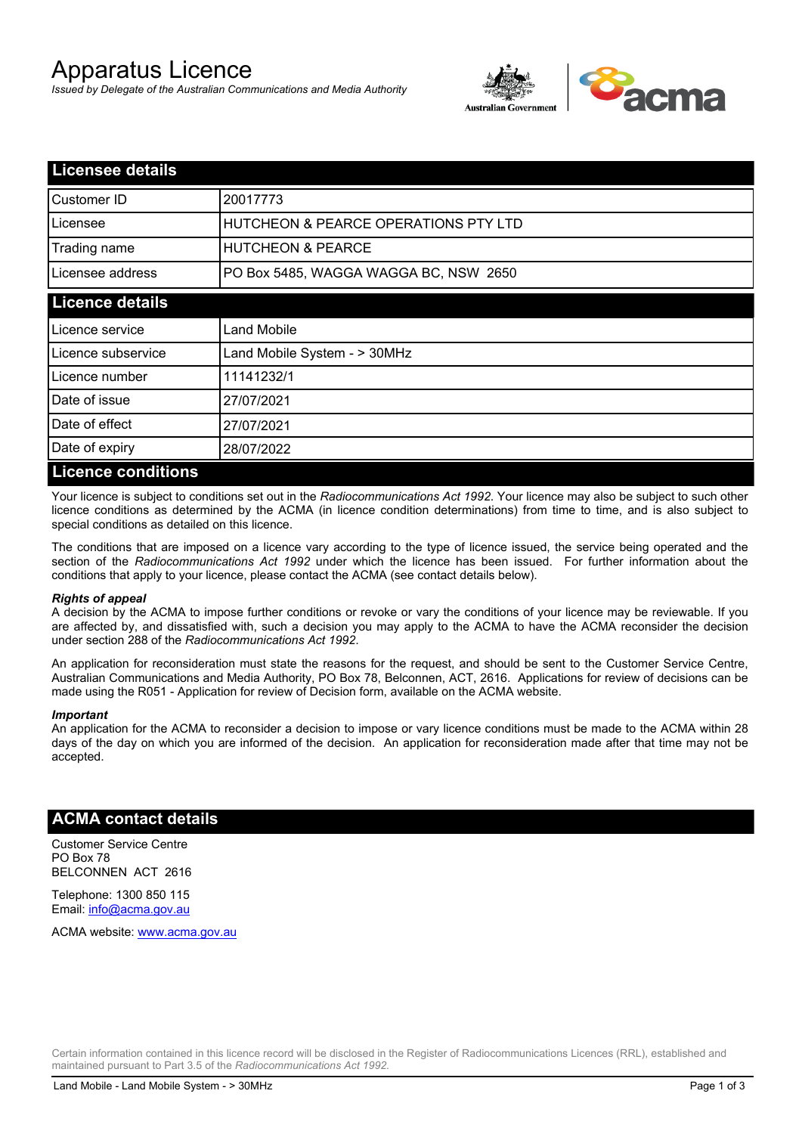# Apparatus Licence

*Issued by Delegate of the Australian Communications and Media Authority*



| <b>Licensee details</b>   |                                       |  |
|---------------------------|---------------------------------------|--|
| Customer ID               | 20017773                              |  |
| Licensee                  | HUTCHEON & PEARCE OPERATIONS PTY LTD  |  |
| Trading name              | <b>HUTCHEON &amp; PEARCE</b>          |  |
| Licensee address          | PO Box 5485, WAGGA WAGGA BC, NSW 2650 |  |
| <b>Licence details</b>    |                                       |  |
| Licence service           | Land Mobile                           |  |
| Licence subservice        | Land Mobile System - > 30MHz          |  |
| Licence number            | 11141232/1                            |  |
| Date of issue             | 27/07/2021                            |  |
| Date of effect            | 27/07/2021                            |  |
| Date of expiry            | 28/07/2022                            |  |
| <b>Licence conditions</b> |                                       |  |

Your licence is subject to conditions set out in the *Radiocommunications Act 1992*. Your licence may also be subject to such other licence conditions as determined by the ACMA (in licence condition determinations) from time to time, and is also subject to special conditions as detailed on this licence.

The conditions that are imposed on a licence vary according to the type of licence issued, the service being operated and the section of the *Radiocommunications Act 1992* under which the licence has been issued. For further information about the conditions that apply to your licence, please contact the ACMA (see contact details below).

#### *Rights of appeal*

A decision by the ACMA to impose further conditions or revoke or vary the conditions of your licence may be reviewable. If you are affected by, and dissatisfied with, such a decision you may apply to the ACMA to have the ACMA reconsider the decision under section 288 of the *Radiocommunications Act 1992*.

An application for reconsideration must state the reasons for the request, and should be sent to the Customer Service Centre, Australian Communications and Media Authority, PO Box 78, Belconnen, ACT, 2616. Applications for review of decisions can be made using the R051 - Application for review of Decision form, available on the ACMA website.

#### *Important*

An application for the ACMA to reconsider a decision to impose or vary licence conditions must be made to the ACMA within 28 days of the day on which you are informed of the decision. An application for reconsideration made after that time may not be accepted.

### **ACMA contact details**

Customer Service Centre PO Box 78 BELCONNEN ACT 2616

Telephone: 1300 850 115 Email: info@acma.gov.au

ACMA website: www.acma.gov.au

Certain information contained in this licence record will be disclosed in the Register of Radiocommunications Licences (RRL), established and maintained pursuant to Part 3.5 of the *Radiocommunications Act 1992.*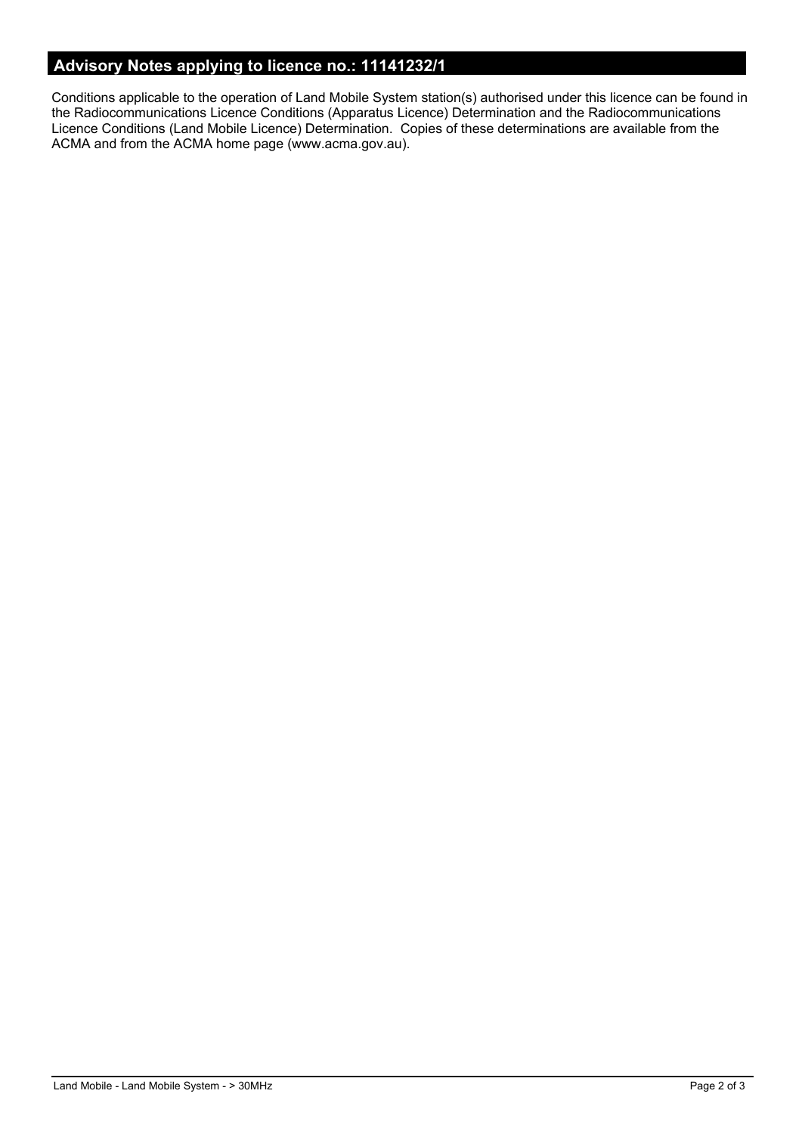# **Advisory Notes applying to licence no.: 11141232/1**

Conditions applicable to the operation of Land Mobile System station(s) authorised under this licence can be found in the Radiocommunications Licence Conditions (Apparatus Licence) Determination and the Radiocommunications Licence Conditions (Land Mobile Licence) Determination. Copies of these determinations are available from the ACMA and from the ACMA home page (www.acma.gov.au).